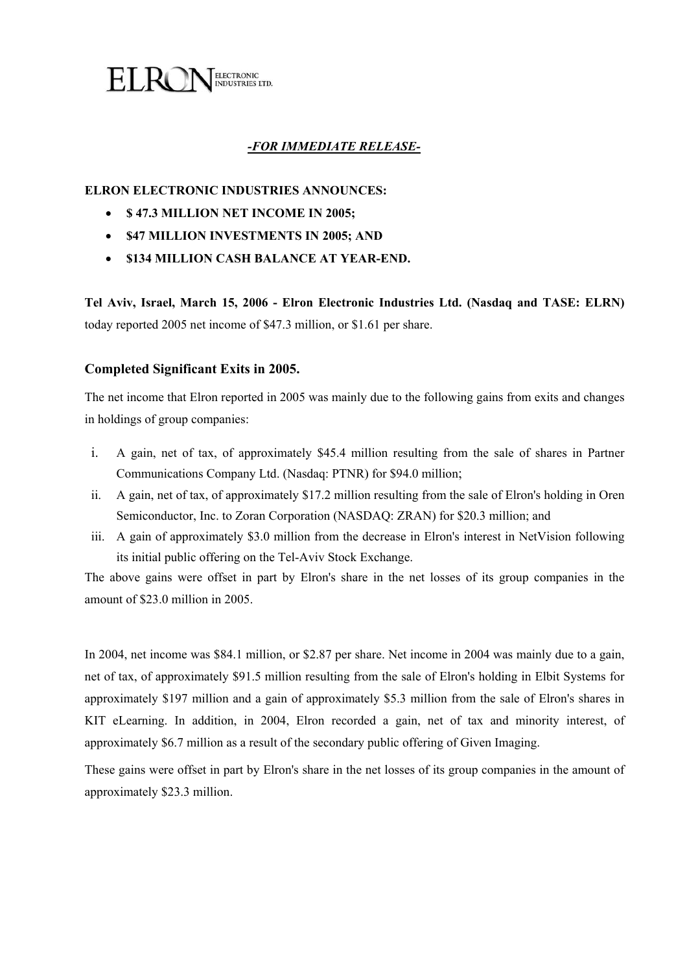

## *-FOR IMMEDIATE RELEASE-*

### **ELRON ELECTRONIC INDUSTRIES ANNOUNCES:**

- **\$ 47.3 MILLION NET INCOME IN 2005;**
- **\$47 MILLION INVESTMENTS IN 2005; AND**
- **\$134 MILLION CASH BALANCE AT YEAR-END.**

**Tel Aviv, Israel, March 15, 2006 - Elron Electronic Industries Ltd. (Nasdaq and TASE: ELRN)** today reported 2005 net income of \$47.3 million, or \$1.61 per share.

#### **Completed Significant Exits in 2005.**

The net income that Elron reported in 2005 was mainly due to the following gains from exits and changes in holdings of group companies:

- i. A gain, net of tax, of approximately \$45.4 million resulting from the sale of shares in Partner Communications Company Ltd. (Nasdaq: PTNR) for \$94.0 million;
- ii. A gain, net of tax, of approximately \$17.2 million resulting from the sale of Elron's holding in Oren Semiconductor, Inc. to Zoran Corporation (NASDAQ: ZRAN) for \$20.3 million; and
- iii. A gain of approximately \$3.0 million from the decrease in Elron's interest in NetVision following its initial public offering on the Tel-Aviv Stock Exchange.

The above gains were offset in part by Elron's share in the net losses of its group companies in the amount of \$23.0 million in 2005.

In 2004, net income was \$84.1 million, or \$2.87 per share. Net income in 2004 was mainly due to a gain, net of tax, of approximately \$91.5 million resulting from the sale of Elron's holding in Elbit Systems for approximately \$197 million and a gain of approximately \$5.3 million from the sale of Elron's shares in KIT eLearning. In addition, in 2004, Elron recorded a gain, net of tax and minority interest, of approximately \$6.7 million as a result of the secondary public offering of Given Imaging.

These gains were offset in part by Elron's share in the net losses of its group companies in the amount of approximately \$23.3 million.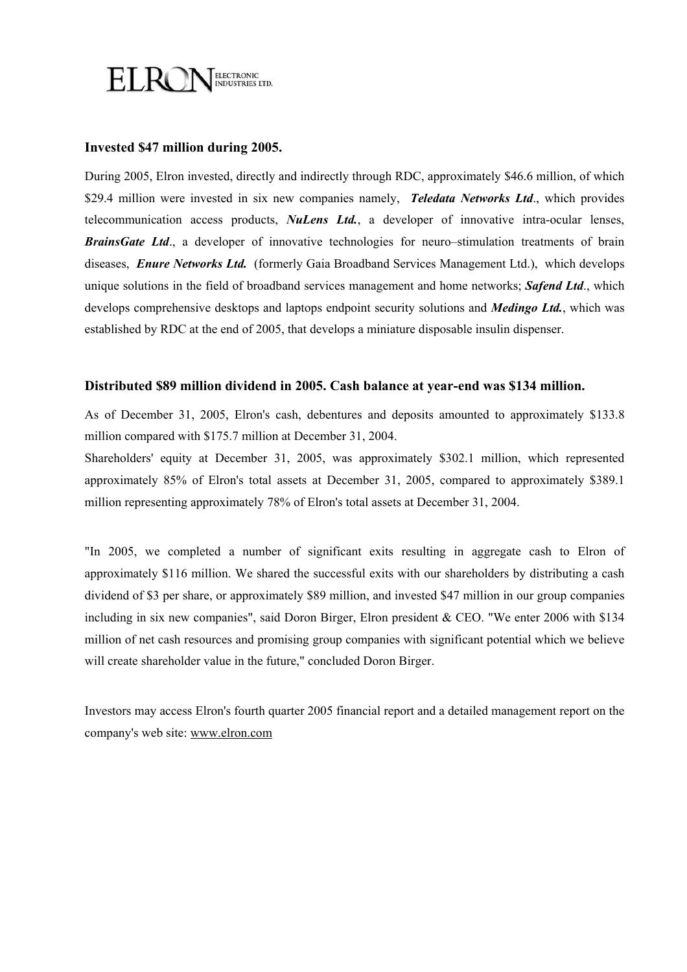

### **Invested \$47 million during 2005.**

During 2005, Elron invested, directly and indirectly through RDC, approximately \$46.6 million, of which \$29.4 million were invested in six new companies namely, *Teledata Networks Ltd*., which provides telecommunication access products, *NuLens Ltd.*, a developer of innovative intra-ocular lenses, **BrainsGate Ltd.**, a developer of innovative technologies for neuro–stimulation treatments of brain diseases, *Enure Networks Ltd.* (formerly Gaia Broadband Services Management Ltd.), which develops unique solutions in the field of broadband services management and home networks; *Safend Ltd*., which develops comprehensive desktops and laptops endpoint security solutions and *Medingo Ltd.*, which was established by RDC at the end of 2005, that develops a miniature disposable insulin dispenser.

### **Distributed \$89 million dividend in 2005. Cash balance at year-end was \$134 million.**

As of December 31, 2005, Elron's cash, debentures and deposits amounted to approximately \$133.8 million compared with \$175.7 million at December 31, 2004.

Shareholders' equity at December 31, 2005, was approximately \$302.1 million, which represented approximately 85% of Elron's total assets at December 31, 2005, compared to approximately \$389.1 million representing approximately 78% of Elron's total assets at December 31, 2004.

"In 2005, we completed a number of significant exits resulting in aggregate cash to Elron of approximately \$116 million. We shared the successful exits with our shareholders by distributing a cash dividend of \$3 per share, or approximately \$89 million, and invested \$47 million in our group companies including in six new companies", said Doron Birger, Elron president & CEO. "We enter 2006 with \$134 million of net cash resources and promising group companies with significant potential which we believe will create shareholder value in the future," concluded Doron Birger.

Investors may access Elron's fourth quarter 2005 financial report and a detailed management report on the company's web site: www.elron.com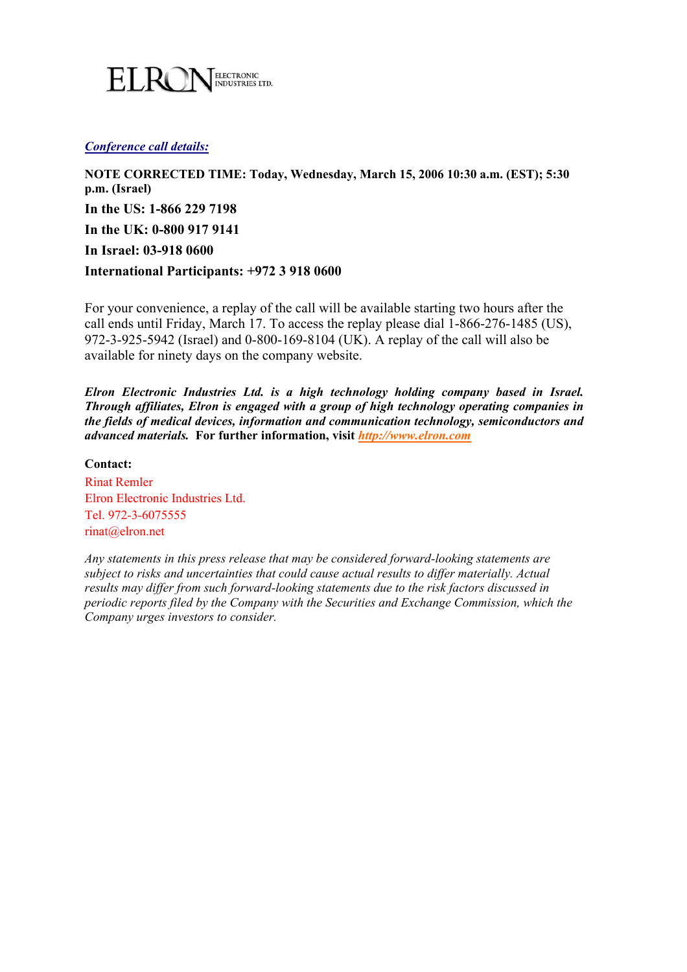

#### *Conference call details:*

**NOTE CORRECTED TIME: Today, Wednesday, March 15, 2006 10:30 a.m. (EST); 5:30 p.m. (Israel) In the US: 1-866 229 7198 In the UK: 0-800 917 9141 In Israel: 03-918 0600 International Participants: +972 3 918 0600** 

For your convenience, a replay of the call will be available starting two hours after the call ends until Friday, March 17. To access the replay please dial 1-866-276-1485 (US), 972-3-925-5942 (Israel) and 0-800-169-8104 (UK). A replay of the call will also be available for ninety days on the company website.

*Elron Electronic Industries Ltd. is a high technology holding company based in Israel. Through affiliates, Elron is engaged with a group of high technology operating companies in the fields of medical devices, information and communication technology, semiconductors and advanced materials.* **For further information, visit** *http://www.elron.com*

### **Contact:**

Rinat Remler Elron Electronic Industries Ltd. Tel. 972-3-6075555 rinat@elron.net

*Any statements in this press release that may be considered forward-looking statements are subject to risks and uncertainties that could cause actual results to differ materially. Actual results may differ from such forward-looking statements due to the risk factors discussed in periodic reports filed by the Company with the Securities and Exchange Commission, which the Company urges investors to consider.*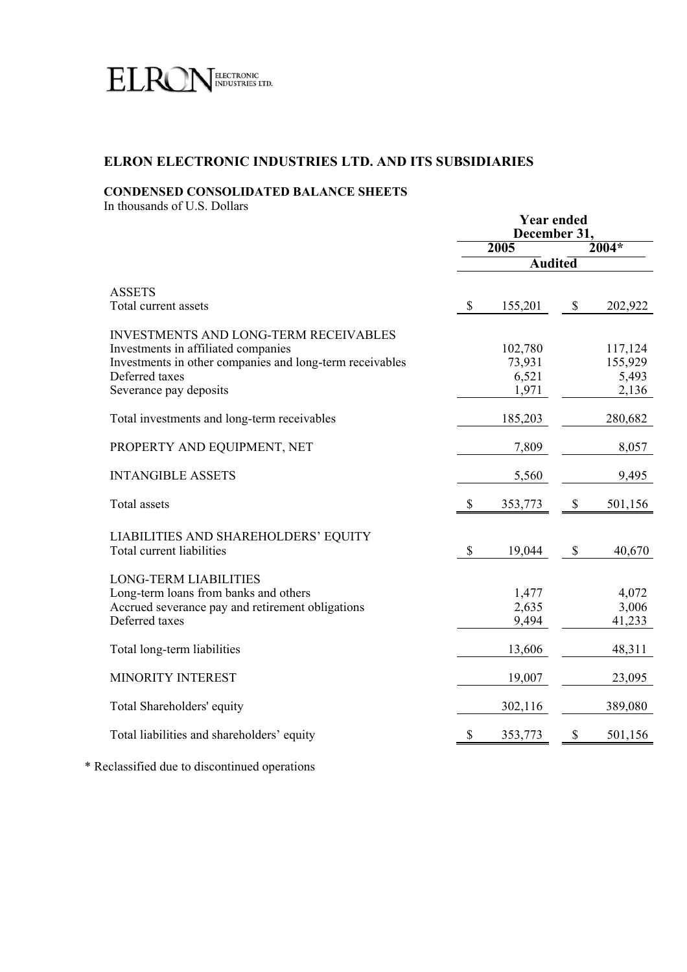

# **ELRON ELECTRONIC INDUSTRIES LTD. AND ITS SUBSIDIARIES**

### **CONDENSED CONSOLIDATED BALANCE SHEETS**

In thousands of U.S. Dollars

|                                                                                                                                                                                      | <b>Year ended</b><br>December 31. |                                     |      |                                      |  |
|--------------------------------------------------------------------------------------------------------------------------------------------------------------------------------------|-----------------------------------|-------------------------------------|------|--------------------------------------|--|
|                                                                                                                                                                                      |                                   | 2005                                |      | $2004*$                              |  |
|                                                                                                                                                                                      |                                   | <b>Audited</b>                      |      |                                      |  |
| <b>ASSETS</b><br>Total current assets                                                                                                                                                | \$                                | 155,201                             | $\$$ | 202,922                              |  |
| INVESTMENTS AND LONG-TERM RECEIVABLES<br>Investments in affiliated companies<br>Investments in other companies and long-term receivables<br>Deferred taxes<br>Severance pay deposits |                                   | 102,780<br>73,931<br>6,521<br>1,971 |      | 117,124<br>155,929<br>5,493<br>2,136 |  |
| Total investments and long-term receivables                                                                                                                                          |                                   | 185,203                             |      | 280,682                              |  |
| PROPERTY AND EQUIPMENT, NET                                                                                                                                                          |                                   | 7,809                               |      | 8,057                                |  |
| <b>INTANGIBLE ASSETS</b>                                                                                                                                                             |                                   | 5,560                               |      | 9,495                                |  |
| Total assets                                                                                                                                                                         | \$                                | 353,773                             | \$   | 501,156                              |  |
| LIABILITIES AND SHAREHOLDERS' EQUITY<br>Total current liabilities                                                                                                                    | \$                                | 19,044                              | \$   | 40,670                               |  |
| <b>LONG-TERM LIABILITIES</b><br>Long-term loans from banks and others<br>Accrued severance pay and retirement obligations<br>Deferred taxes                                          |                                   | 1,477<br>2,635<br>9,494             |      | 4,072<br>3,006<br>41,233             |  |
| Total long-term liabilities                                                                                                                                                          |                                   | 13,606                              |      | 48,311                               |  |
| MINORITY INTEREST                                                                                                                                                                    |                                   | 19,007                              |      | 23,095                               |  |
| Total Shareholders' equity                                                                                                                                                           |                                   | 302,116                             |      | 389,080                              |  |
| Total liabilities and shareholders' equity                                                                                                                                           | S                                 | 353,773                             | S    | 501,156                              |  |

\* Reclassified due to discontinued operations